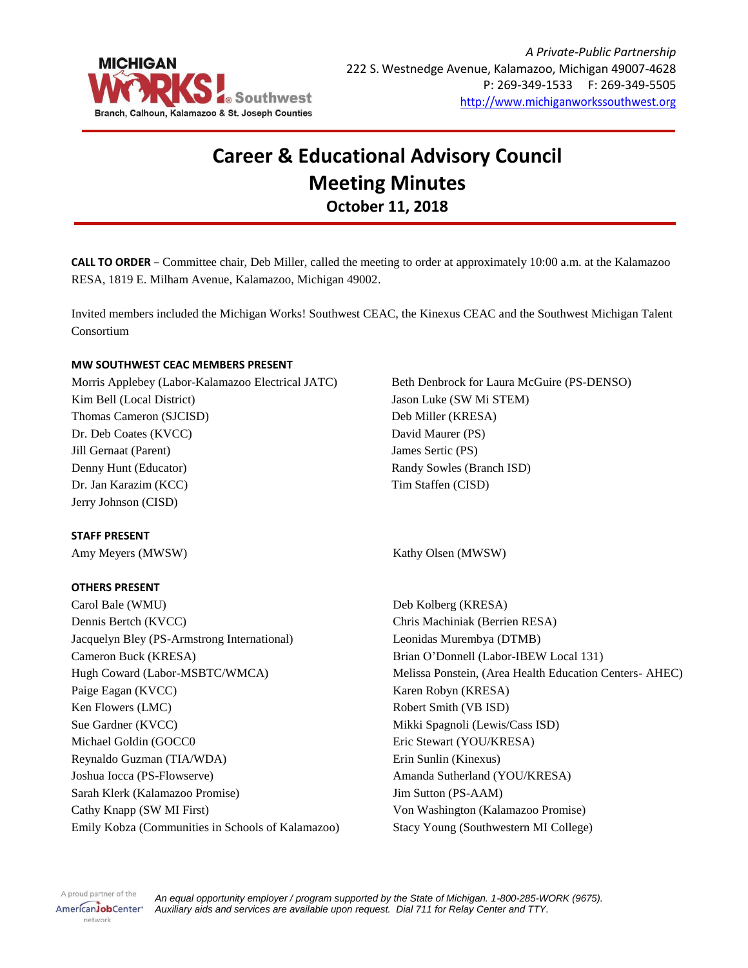

# **Career & Educational Advisory Council Meeting Minutes October 11, 2018**

**CALL TO ORDER** – Committee chair, Deb Miller, called the meeting to order at approximately 10:00 a.m. at the Kalamazoo RESA, 1819 E. Milham Avenue, Kalamazoo, Michigan 49002.

Invited members included the Michigan Works! Southwest CEAC, the Kinexus CEAC and the Southwest Michigan Talent Consortium

## **MW SOUTHWEST CEAC MEMBERS PRESENT**

Morris Applebey (Labor-Kalamazoo Electrical JATC) Kim Bell (Local District) Thomas Cameron (SJCISD) Dr. Deb Coates (KVCC) Jill Gernaat (Parent) Denny Hunt (Educator) Dr. Jan Karazim (KCC) Jerry Johnson (CISD)

**STAFF PRESENT**

#### **OTHERS PRESENT**

Carol Bale (WMU) Dennis Bertch (KVCC) Jacquelyn Bley (PS-Armstrong International) Cameron Buck (KRESA) Hugh Coward (Labor-MSBTC/WMCA) Paige Eagan (KVCC) Ken Flowers (LMC) Sue Gardner (KVCC) Michael Goldin (GOCC0 Reynaldo Guzman (TIA/WDA) Joshua Iocca (PS-Flowserve) Sarah Klerk (Kalamazoo Promise) Cathy Knapp (SW MI First) Emily Kobza (Communities in Schools of Kalamazoo) Beth Denbrock for Laura McGuire (PS-DENSO) Jason Luke (SW Mi STEM) Deb Miller (KRESA) David Maurer (PS) James Sertic (PS) Randy Sowles (Branch ISD) Tim Staffen (CISD)

Amy Meyers (MWSW) Sample of the Country of the Kathy Olsen (MWSW)

Deb Kolberg (KRESA) Chris Machiniak (Berrien RESA) Leonidas Murembya (DTMB) Brian O'Donnell (Labor-IBEW Local 131) Melissa Ponstein, (Area Health Education Centers- AHEC) Karen Robyn (KRESA) Robert Smith (VB ISD) Mikki Spagnoli (Lewis/Cass ISD) Eric Stewart (YOU/KRESA) Erin Sunlin (Kinexus) Amanda Sutherland (YOU/KRESA) Jim Sutton (PS-AAM) Von Washington (Kalamazoo Promise) Stacy Young (Southwestern MI College)

A proud partner of the AmericanJobCenter<sup>®</sup> network

*An equal opportunity employer / program supported by the State of Michigan. 1-800-285-WORK (9675). Auxiliary aids and services are available upon request. Dial 711 for Relay Center and TTY.*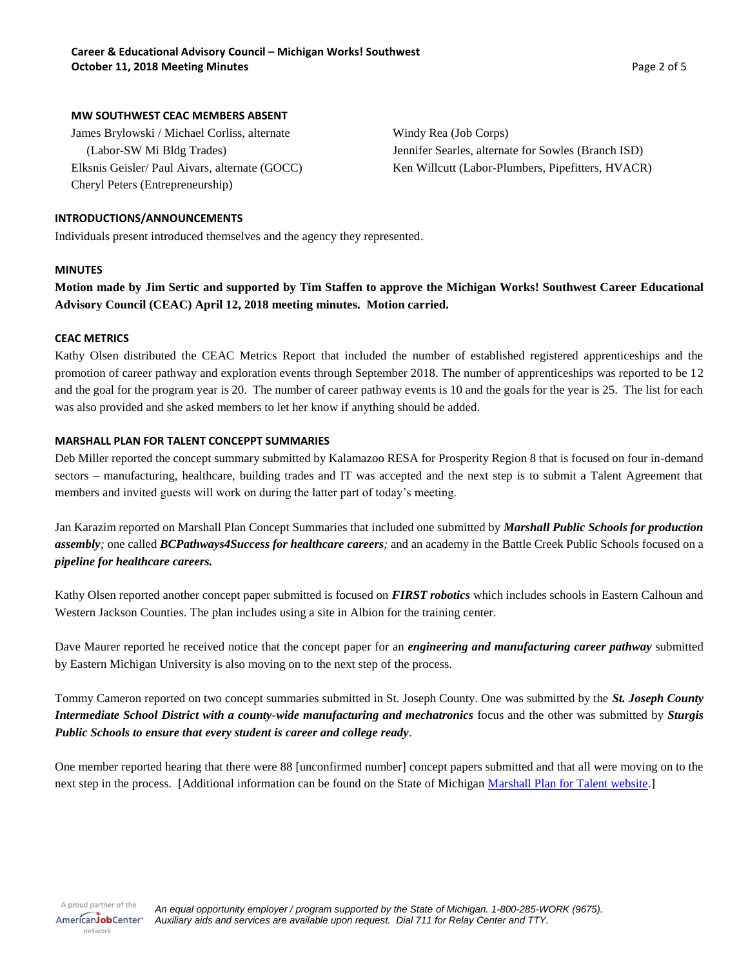## **MW SOUTHWEST CEAC MEMBERS ABSENT**

James Brylowski / Michael Corliss, alternate (Labor-SW Mi Bldg Trades) Elksnis Geisler/ Paul Aivars, alternate (GOCC) Cheryl Peters (Entrepreneurship)

Windy Rea (Job Corps) Jennifer Searles, alternate for Sowles (Branch ISD) Ken Willcutt (Labor-Plumbers, Pipefitters, HVACR)

# **INTRODUCTIONS/ANNOUNCEMENTS**

Individuals present introduced themselves and the agency they represented.

## **MINUTES**

**Motion made by Jim Sertic and supported by Tim Staffen to approve the Michigan Works! Southwest Career Educational Advisory Council (CEAC) April 12, 2018 meeting minutes. Motion carried.**

#### **CEAC METRICS**

Kathy Olsen distributed the CEAC Metrics Report that included the number of established registered apprenticeships and the promotion of career pathway and exploration events through September 2018. The number of apprenticeships was reported to be 12 and the goal for the program year is 20. The number of career pathway events is 10 and the goals for the year is 25. The list for each was also provided and she asked members to let her know if anything should be added.

## **MARSHALL PLAN FOR TALENT CONCEPPT SUMMARIES**

Deb Miller reported the concept summary submitted by Kalamazoo RESA for Prosperity Region 8 that is focused on four in-demand sectors – manufacturing, healthcare, building trades and IT was accepted and the next step is to submit a Talent Agreement that members and invited guests will work on during the latter part of today's meeting.

Jan Karazim reported on Marshall Plan Concept Summaries that included one submitted by *Marshall Public Schools for production assembly;* one called *BCPathways4Success for healthcare careers;* and an academy in the Battle Creek Public Schools focused on a *pipeline for healthcare careers.*

Kathy Olsen reported another concept paper submitted is focused on *FIRST robotics* which includes schools in Eastern Calhoun and Western Jackson Counties. The plan includes using a site in Albion for the training center.

Dave Maurer reported he received notice that the concept paper for an *engineering and manufacturing career pathway* submitted by Eastern Michigan University is also moving on to the next step of the process.

Tommy Cameron reported on two concept summaries submitted in St. Joseph County. One was submitted by the *St. Joseph County Intermediate School District with a county-wide manufacturing and mechatronics* focus and the other was submitted by *Sturgis Public Schools to ensure that every student is career and college ready*.

One member reported hearing that there were 88 [unconfirmed number] concept papers submitted and that all were moving on to the next step in the process. [Additional information can be found on the State of Michigan [Marshall Plan for Talent website.](https://www.michigan.gov/ted/0,5863,7-336-85008---,00.html)]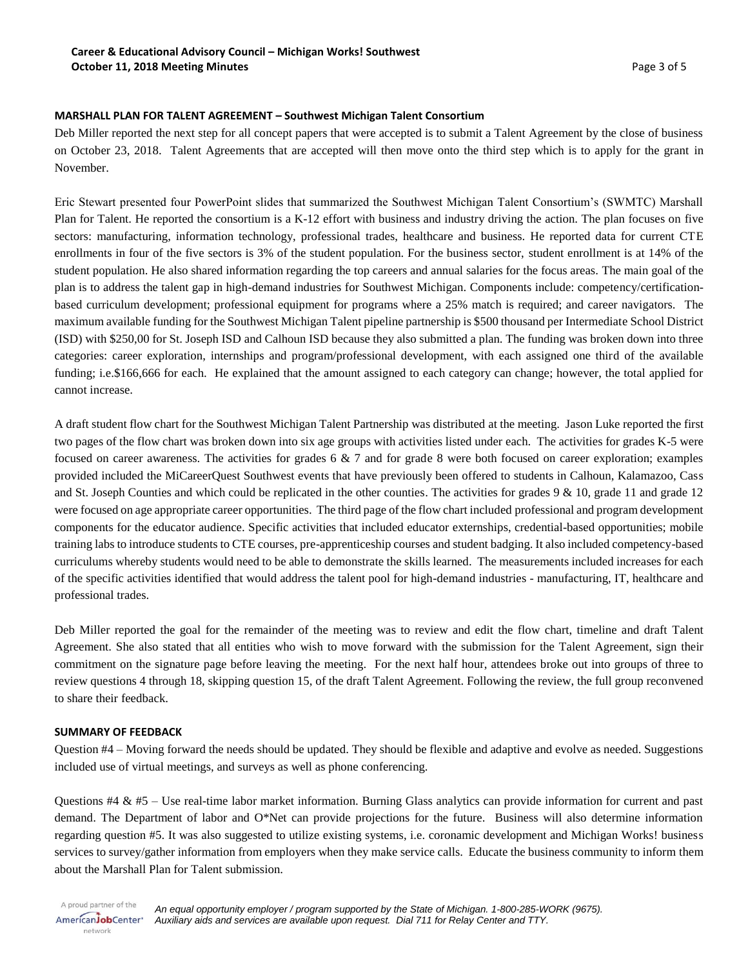# **MARSHALL PLAN FOR TALENT AGREEMENT – Southwest Michigan Talent Consortium**

Deb Miller reported the next step for all concept papers that were accepted is to submit a Talent Agreement by the close of business on October 23, 2018. Talent Agreements that are accepted will then move onto the third step which is to apply for the grant in November.

Eric Stewart presented four PowerPoint slides that summarized the Southwest Michigan Talent Consortium's (SWMTC) Marshall Plan for Talent. He reported the consortium is a K-12 effort with business and industry driving the action. The plan focuses on five sectors: manufacturing, information technology, professional trades, healthcare and business. He reported data for current CTE enrollments in four of the five sectors is 3% of the student population. For the business sector, student enrollment is at 14% of the student population. He also shared information regarding the top careers and annual salaries for the focus areas. The main goal of the plan is to address the talent gap in high-demand industries for Southwest Michigan. Components include: competency/certificationbased curriculum development; professional equipment for programs where a 25% match is required; and career navigators. The maximum available funding for the Southwest Michigan Talent pipeline partnership is \$500 thousand per Intermediate School District (ISD) with \$250,00 for St. Joseph ISD and Calhoun ISD because they also submitted a plan. The funding was broken down into three categories: career exploration, internships and program/professional development, with each assigned one third of the available funding; i.e.\$166,666 for each. He explained that the amount assigned to each category can change; however, the total applied for cannot increase.

A draft student flow chart for the Southwest Michigan Talent Partnership was distributed at the meeting. Jason Luke reported the first two pages of the flow chart was broken down into six age groups with activities listed under each. The activities for grades K-5 were focused on career awareness. The activities for grades  $6 \& 7$  and for grade 8 were both focused on career exploration; examples provided included the MiCareerQuest Southwest events that have previously been offered to students in Calhoun, Kalamazoo, Cass and St. Joseph Counties and which could be replicated in the other counties. The activities for grades  $9 \& 10$ , grade 11 and grade 12 were focused on age appropriate career opportunities. The third page of the flow chart included professional and program development components for the educator audience. Specific activities that included educator externships, credential-based opportunities; mobile training labs to introduce students to CTE courses, pre-apprenticeship courses and student badging. It also included competency-based curriculums whereby students would need to be able to demonstrate the skills learned. The measurements included increases for each of the specific activities identified that would address the talent pool for high-demand industries - manufacturing, IT, healthcare and professional trades.

Deb Miller reported the goal for the remainder of the meeting was to review and edit the flow chart, timeline and draft Talent Agreement. She also stated that all entities who wish to move forward with the submission for the Talent Agreement, sign their commitment on the signature page before leaving the meeting. For the next half hour, attendees broke out into groups of three to review questions 4 through 18, skipping question 15, of the draft Talent Agreement. Following the review, the full group reconvened to share their feedback.

#### **SUMMARY OF FEEDBACK**

Question #4 – Moving forward the needs should be updated. They should be flexible and adaptive and evolve as needed. Suggestions included use of virtual meetings, and surveys as well as phone conferencing.

Questions #4 & #5 – Use real-time labor market information. Burning Glass analytics can provide information for current and past demand. The Department of labor and O\*Net can provide projections for the future. Business will also determine information regarding question #5. It was also suggested to utilize existing systems, i.e. coronamic development and Michigan Works! business services to survey/gather information from employers when they make service calls. Educate the business community to inform them about the Marshall Plan for Talent submission.

A proud partner of the AmericanJobCenter<sup>®</sup> network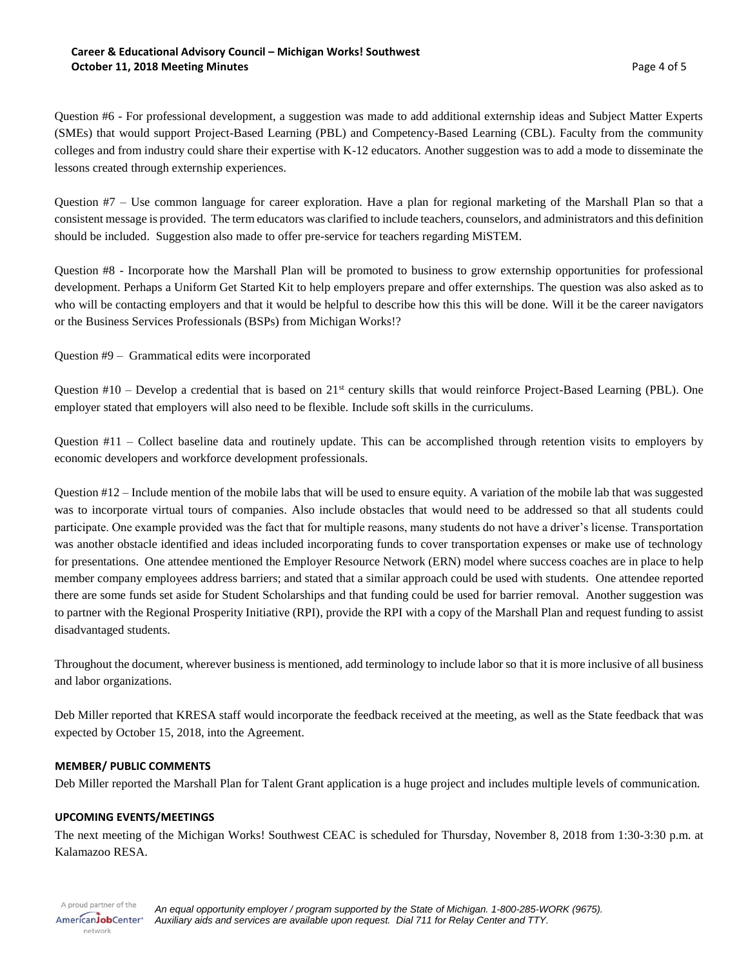## **Career & Educational Advisory Council – Michigan Works! Southwest October 11, 2018 Meeting Minutes** Page 4 of 5

Question #6 - For professional development, a suggestion was made to add additional externship ideas and Subject Matter Experts (SMEs) that would support Project-Based Learning (PBL) and Competency-Based Learning (CBL). Faculty from the community colleges and from industry could share their expertise with K-12 educators. Another suggestion was to add a mode to disseminate the lessons created through externship experiences.

Question #7 – Use common language for career exploration. Have a plan for regional marketing of the Marshall Plan so that a consistent message is provided. The term educators was clarified to include teachers, counselors, and administrators and this definition should be included. Suggestion also made to offer pre-service for teachers regarding MiSTEM.

Question #8 - Incorporate how the Marshall Plan will be promoted to business to grow externship opportunities for professional development. Perhaps a Uniform Get Started Kit to help employers prepare and offer externships. The question was also asked as to who will be contacting employers and that it would be helpful to describe how this this will be done. Will it be the career navigators or the Business Services Professionals (BSPs) from Michigan Works!?

Question #9 – Grammatical edits were incorporated

Question  $#10$  – Develop a credential that is based on  $21<sup>st</sup>$  century skills that would reinforce Project-Based Learning (PBL). One employer stated that employers will also need to be flexible. Include soft skills in the curriculums.

Question #11 – Collect baseline data and routinely update. This can be accomplished through retention visits to employers by economic developers and workforce development professionals.

Question #12 – Include mention of the mobile labs that will be used to ensure equity. A variation of the mobile lab that was suggested was to incorporate virtual tours of companies. Also include obstacles that would need to be addressed so that all students could participate. One example provided was the fact that for multiple reasons, many students do not have a driver's license. Transportation was another obstacle identified and ideas included incorporating funds to cover transportation expenses or make use of technology for presentations. One attendee mentioned the Employer Resource Network (ERN) model where success coaches are in place to help member company employees address barriers; and stated that a similar approach could be used with students. One attendee reported there are some funds set aside for Student Scholarships and that funding could be used for barrier removal. Another suggestion was to partner with the Regional Prosperity Initiative (RPI), provide the RPI with a copy of the Marshall Plan and request funding to assist disadvantaged students.

Throughout the document, wherever business is mentioned, add terminology to include labor so that it is more inclusive of all business and labor organizations.

Deb Miller reported that KRESA staff would incorporate the feedback received at the meeting, as well as the State feedback that was expected by October 15, 2018, into the Agreement.

# **MEMBER/ PUBLIC COMMENTS**

Deb Miller reported the Marshall Plan for Talent Grant application is a huge project and includes multiple levels of communication.

# **UPCOMING EVENTS/MEETINGS**

network

The next meeting of the Michigan Works! Southwest CEAC is scheduled for Thursday, November 8, 2018 from 1:30-3:30 p.m. at Kalamazoo RESA.